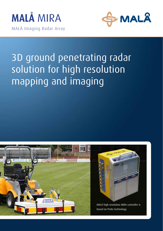



## 3D ground penetrating radar solution for high resolution mapping and imaging





MALÅ high resolution MIRA controller is based on ProEx technology.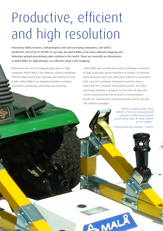# Productive, efficient and high resolution

**Praised by utility locators, archaeologists and road surveying companies, and with a production rate of up to 50,000 m2 per day, the MALÅ MIRA is the most efficient mapping and detection ground penetrating radar solution in the world. There are currently no alternatives to MALÅ MIRA for high density, cost effective large scale mapping.** 

Rising from the need of mapping large areas in high resolution, MALÅ MIRA is the ultimate solution combining efficient high density data collection and delivery of clear results. MALÅ MIRA is an integrated solution including acquisition, positioning, processing and reporting.

 MALÅ MIRA uses parallel processing technology to maintain its high acquisition speed regardless of number of antennas (data channels) used. Each data point collected is associated with a precise coordinate obtained in real time from a linked RTK GPS or Robotic Total Station system. The rSlicer processing software is designed to treat true 3D data and creates stunning detail and accuracy in interpretations. Results are exported into common formats used by GIS and CAD software packages.

> "MALÅ's Imaging Radar Array (MIRA) is the most advanced and complete multichannel ground penetrating radar 3D array system on the market."

- Ludwig Boltzman Institute , Austria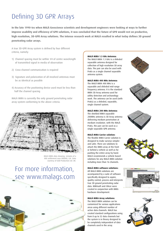## Defining 3D GPR Arrays

**In the late 1990-ies when MALÅ Geoscience scientists and development engineers were looking at ways to further improve usability and efficiency of GPR solutions, it was concluded that the future of GPR would rest on productive, high resolution, 3D-GPR Array solutions. The intense research work at MALÅ resulted in what today defines 3D ground penetrating radar arrays.** 

A true 3D-GPR Array system is defined by four different criteria, namely:

- 1) Channel spacing must be within 1⁄4 of centre wavelength of transmitted signal in media of observation
- 2) Cross-channel communication is required
- 3) Signature and polarization of all involved antennas must be as identical as possible
- 4) Accuracy of the positioning device used must be less than half the channel spacing

MALÅ MIRA is currently the only ground penetrating radar array system conforming to the above criteria.



MALÅ MIRA data showing remains of a XXX settlement near XXXXXX, U.K. Data courtesy of GSB Production Ltd. UK.

### For more information, see www.malags.com



#### **MALÅ MIRA 1.3 GHz Antenna:**

The MALÅ MIRA 1.3 GHz is a shileded separable antenna designed for collection of high resolution 3D array data. The pair can also be used with ProEx as a single channel separable antenna system.

#### **MALÅ MIRA 400 MHz Antenna:**

The MALÅ MIRA 400 MHz is a separable and shileded mid-range frequency antenna. It is the standard MIRA 3D Array antenna used for utility detection and archaeology work. The antenna can be used (with ProEx) as a shileded, separable, single channel system.





**MALÅ MIRA 200 MHz Antenna:** The shielded MIRA separable 200MHz antenna is 3D Array antenna delivering medium penetration at medium resolution. with the MALÅ ProEx, the pair can be used as a single separable GPR antenna.

#### **MALÅ MIRA Carrier solution:**

The flexible MIRA Carrier solution is designed to make surveys simpler and safer. There are solutions to attach the MIRA array at the front or behind a vehicle as well as for pushing the entire array by hand. MALÅ recommends a vehicle based solutions for any MALÅ MIRA solution including more than 16 channels.

#### **MALÅ MIRA software solutions:**

All MALÅ MIRA solutions are accompanied by a suite of software specifically designed to aquire, quality control, process and interprete true 3D ground penetrating radar data. MIRAsoft and rSlicer were created in conjunction with MIRA hardware development.

#### **MALÅ MIRA Array solutions:**

The MALÅ MIRA solution can be customized for various applications areas using different number of active data channels. MALÅ has created standard configurations using from 8 up to 32 data channels but the system is in theory designed to be completely independent of data channels used in the array.